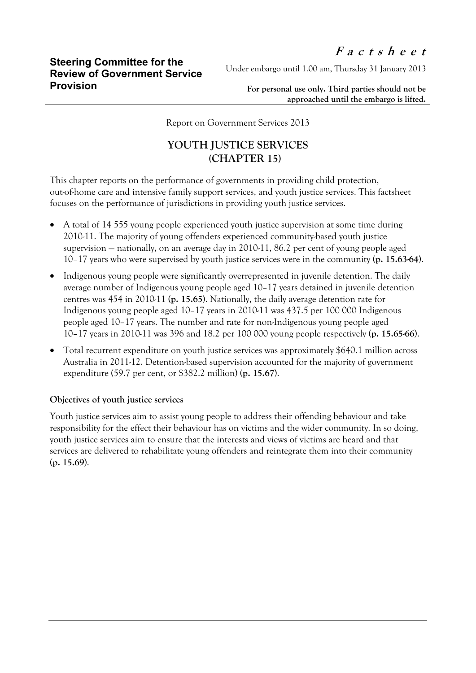Under embargo until 1.00 am, Thursday 31 January 2013

**For personal use only. Third parties should not be approached until the embargo is lifted.**

Report on Government Services 2013

## **YOUTH JUSTICE SERVICES (CHAPTER 15)**

This chapter reports on the performance of governments in providing child protection, out-of-home care and intensive family support services, and youth justice services. This factsheet focuses on the performance of jurisdictions in providing youth justice services.

- A total of 14 555 young people experienced youth justice supervision at some time during 2010-11. The majority of young offenders experienced community-based youth justice supervision — nationally, on an average day in 2010-11, 86.2 per cent of young people aged 10–17 years who were supervised by youth justice services were in the community (**p. 15.63-64**).
- Indigenous young people were significantly overrepresented in juvenile detention. The daily average number of Indigenous young people aged 10–17 years detained in juvenile detention centres was 454 in 2010-11 (**p. 15.65**). Nationally, the daily average detention rate for Indigenous young people aged 10–17 years in 2010-11 was 437.5 per 100 000 Indigenous people aged 10–17 years. The number and rate for non-Indigenous young people aged 10–17 years in 2010-11 was 396 and 18.2 per 100 000 young people respectively (**p. 15.65-66**).
- Total recurrent expenditure on youth justice services was approximately \$640.1 million across Australia in 2011-12. Detention-based supervision accounted for the majority of government expenditure (59.7 per cent, or \$382.2 million) (**p. 15.67**).

## **Objectives of youth justice services**

Youth justice services aim to assist young people to address their offending behaviour and take responsibility for the effect their behaviour has on victims and the wider community. In so doing, youth justice services aim to ensure that the interests and views of victims are heard and that services are delivered to rehabilitate young offenders and reintegrate them into their community (**p. 15.69**).